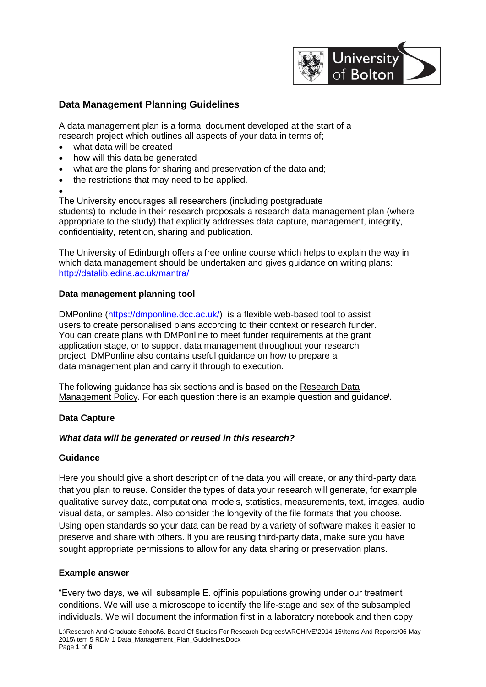

# **Data Management Planning Guidelines**

A data management plan is a formal document developed at the start of a research project which outlines all aspects of your data in terms of;

- what data will be created
- how will this data be generated
- what are the plans for sharing and preservation of the data and;
- the restrictions that may need to be applied.
- $\bullet$

The University encourages all researchers (including postgraduate students) to include in their research proposals a research data management plan (where appropriate to the study) that explicitly addresses data capture, management, integrity, confidentiality, retention, sharing and publication.

The University of Edinburgh offers a free online course which helps to explain the way in which data management should be undertaken and gives guidance on writing plans: <http://datalib.edina.ac.uk/mantra/>

# **Data management planning tool**

DMPonline [\(https://dmponline.dcc.ac.uk/\)](https://dmponline.dcc.ac.uk/) is a flexible web-based tool to assist users to create personalised plans according to their context or research funder. You can create plans with DMPonline to meet funder requirements at the grant application stage, or to support data management throughout your research project. DMPonline also contains useful guidance on how to prepare a data management plan and carry it through to execution.

The following guidance has six sections and is based on the Research Data Management Policy. For each question there is an example question and guidance<sup>i</sup>.

# **Data Capture**

## *What data will be generated or reused in this research?*

## **Guidance**

Here you should give a short description of the data you will create, or any third-party data that you plan to reuse. Consider the types of data your research will generate, for example qualitative survey data, computational models, statistics, measurements, text, images, audio visual data, or samples. Also consider the longevity of the file formats that you choose. Using open standards so your data can be read by a variety of software makes it easier to preserve and share with others. lf you are reusing third-party data, make sure you have sought appropriate permissions to allow for any data sharing or preservation plans.

## **Example answer**

"Every two days, we will subsample E. ojffinis populations growing under our treatment conditions. We will use a microscope to identify the life-stage and sex of the subsampled individuals. We will document the information first in a laboratory notebook and then copy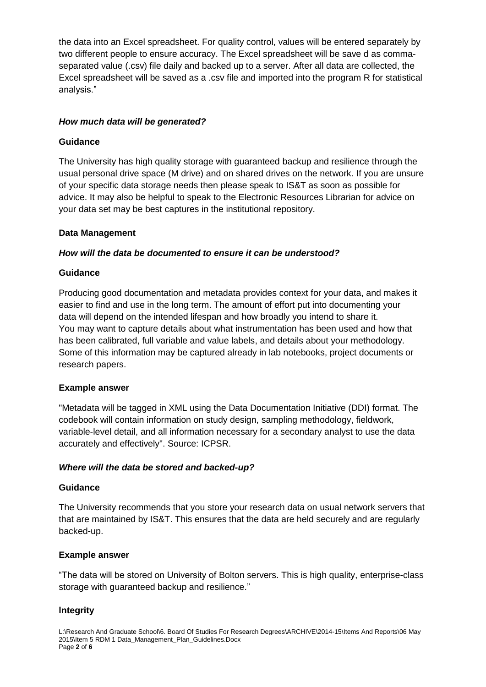the data into an Excel spreadsheet. For quality control, values will be entered separately by two different people to ensure accuracy. The Excel spreadsheet will be save d as commaseparated value (.csv) file daily and backed up to a server. After all data are collected, the Excel spreadsheet will be saved as a .csv file and imported into the program R for statistical analysis."

## *How much data will be generated?*

## **Guidance**

The University has high quality storage with guaranteed backup and resilience through the usual personal drive space (M drive) and on shared drives on the network. If you are unsure of your specific data storage needs then please speak to IS&T as soon as possible for advice. It may also be helpful to speak to the Electronic Resources Librarian for advice on your data set may be best captures in the institutional repository.

# **Data Management**

# *How will the data be documented to ensure it can be understood?*

# **Guidance**

Producing good documentation and metadata provides context for your data, and makes it easier to find and use in the long term. The amount of effort put into documenting your data will depend on the intended lifespan and how broadly you intend to share it. You may want to capture details about what instrumentation has been used and how that has been calibrated, full variable and value labels, and details about your methodology. Some of this information may be captured already in lab notebooks, project documents or research papers.

## **Example answer**

"Metadata will be tagged in XML using the Data Documentation Initiative (DDI) format. The codebook will contain information on study design, sampling methodology, fieldwork, variable-level detail, and all information necessary for a secondary analyst to use the data accurately and effectively". Source: ICPSR.

## *Where will the data be stored and backed-up?*

## **Guidance**

The University recommends that you store your research data on usual network servers that that are maintained by IS&T. This ensures that the data are held securely and are regularly backed-up.

## **Example answer**

"The data will be stored on University of Bolton servers. This is high quality, enterprise-class storage with guaranteed backup and resilience."

## **lntegrity**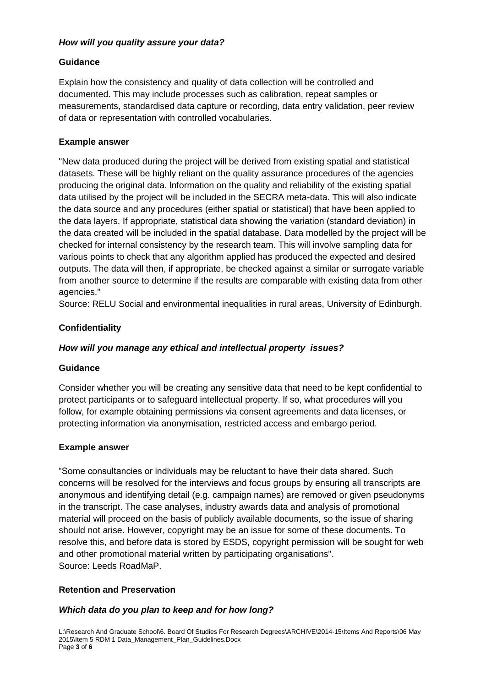# *How will you quality assure your data?*

# **Guidance**

Explain how the consistency and quality of data collection will be controlled and documented. This may include processes such as calibration, repeat samples or measurements, standardised data capture or recording, data entry validation, peer review of data or representation with controlled vocabularies.

# **Example answer**

"New data produced during the project will be derived from existing spatial and statistical datasets. These will be highly reliant on the quality assurance procedures of the agencies producing the original data. lnformation on the quality and reliability of the existing spatial data utilised by the project will be included in the SECRA meta-data. This will also indicate the data source and any procedures (either spatial or statistical) that have been applied to the data layers. If appropriate, statistical data showing the variation (standard deviation) in the data created will be included in the spatial database. Data modelled by the project will be checked for internal consistency by the research team. This will involve sampling data for various points to check that any algorithm applied has produced the expected and desired outputs. The data will then, if appropriate, be checked against a similar or surrogate variable from another source to determine if the results are comparable with existing data from other agencies."

Source: RELU Social and environmental inequalities in rural areas, University of Edinburgh.

# **Confidentiality**

## *How will you manage any ethical and intellectual property issues?*

## **Guidance**

Consider whether you will be creating any sensitive data that need to be kept confidential to protect participants or to safeguard intellectual property. lf so, what procedures will you follow, for example obtaining permissions via consent agreements and data licenses, or protecting information via anonymisation, restricted access and embargo period.

## **Example answer**

"Some consultancies or individuals may be reluctant to have their data shared. Such concerns will be resolved for the interviews and focus groups by ensuring all transcripts are anonymous and identifying detail (e.g. campaign names) are removed or given pseudonyms in the transcript. The case analyses, industry awards data and analysis of promotional material will proceed on the basis of publicly available documents, so the issue of sharing should not arise. However, copyright may be an issue for some of these documents. To resolve this, and before data is stored by ESDS, copyright permission will be sought for web and other promotional material written by participating organisations". Source: Leeds RoadMaP.

## **Retention and Preservation**

## *Which data do you plan to keep and for how long?*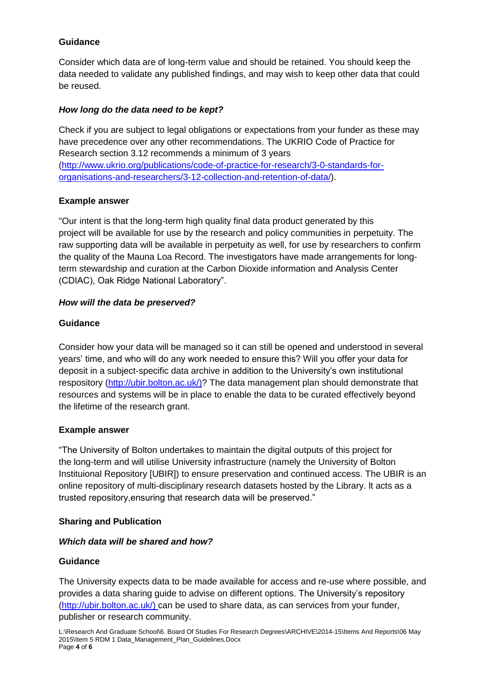# **Guidance**

Consider which data are of long-term value and should be retained. You should keep the data needed to validate any published findings, and may wish to keep other data that could be reused.

# *How long do the data need to be kept?*

Check if you are subject to legal obligations or expectations from your funder as these may have precedence over any other recommendations. The UKRIO Code of Practice for Research section 3.12 recommends a minimum of 3 years [\(http://www.ukrio.org/publications/code-of-practice-for-research/3-0-standards-for](http://www.ukrio.org/publications/code-of-practice-for-research/3-0-standards-for-organisations-and-researchers/3-12-collection-and-retention-of-data/)[organisations-and-researchers/3-12-collection-and-retention-of-data/\)](http://www.ukrio.org/publications/code-of-practice-for-research/3-0-standards-for-organisations-and-researchers/3-12-collection-and-retention-of-data/).

# **Example answer**

"Our intent is that the long-term high quality final data product generated by this project will be available for use by the research and policy communities in perpetuity. The raw supporting data will be available in perpetuity as well, for use by researchers to confirm the quality of the Mauna Loa Record. The investigators have made arrangements for longterm stewardship and curation at the Carbon Dioxide information and Analysis Center (CDIAC), Oak Ridge National Laboratory".

# *How will the data be preserved?*

# **Guidance**

Consider how your data will be managed so it can still be opened and understood in several years' time, and who will do any work needed to ensure this? Will you offer your data for deposit in a subject-specific data archive in addition to the University's own institutional respository [\(http://ubir.bolton.ac.uk/\)](http://ubir.bolton.ac.uk/)? The data management plan should demonstrate that resources and systems will be in place to enable the data to be curated effectively beyond the lifetime of the research grant.

## **Example answer**

"The University of Bolton undertakes to maintain the digital outputs of this project for the long-term and will utilise University infrastructure (namely the University of Bolton Instituional Repository [UBIR]) to ensure preservation and continued access. The UBIR is an online repository of multi-disciplinary research datasets hosted by the Library. lt acts as a trusted repository,ensuring that research data will be preserved."

## **Sharing and Publication**

## *Which data will be shared and how?*

## **Guidance**

The University expects data to be made available for access and re-use where possible, and provides a data sharing guide to advise on different options. The University's repository [\(http://ubir.bolton.ac.uk/\)](http://ubir.bolton.ac.uk/) can be used to share data, as can services from your funder, publisher or research community.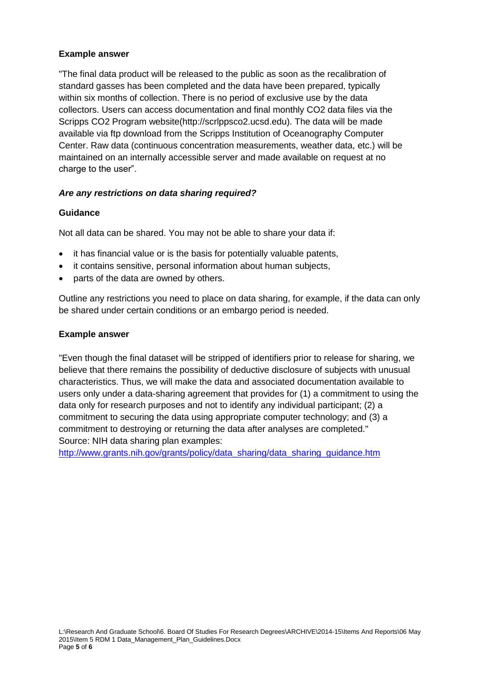# **Example answer**

"The final data product will be released to the public as soon as the recalibration of standard gasses has been completed and the data have been prepared, typically within six months of collection. There is no period of exclusive use by the data collectors. Users can access documentation and final monthly CO2 data files via the Scripps CO2 Program website(http://scrlppsco2.ucsd.edu). The data will be made available via ftp download from the Scripps Institution of Oceanography Computer Center. Raw data (continuous concentration measurements, weather data, etc.) will be maintained on an internally accessible server and made available on request at no charge to the user".

# *Are any restrictions on data sharing required?*

# **Guidance**

Not all data can be shared. You may not be able to share your data if:

- it has financial value or is the basis for potentially valuable patents,
- it contains sensitive, personal information about human subjects,
- parts of the data are owned by others.

Outline any restrictions you need to place on data sharing, for example, if the data can only be shared under certain conditions or an embargo period is needed.

## **Example answer**

"Even though the final dataset will be stripped of identifiers prior to release for sharing, we believe that there remains the possibility of deductive disclosure of subjects with unusual characteristics. Thus, we will make the data and associated documentation available to users only under a data-sharing agreement that provides for (1) a commitment to using the data only for research purposes and not to identify any individual participant; (2) a commitment to securing the data using appropriate computer technology; and (3) a commitment to destroying or returning the data after analyses are completed." Source: NIH data sharing plan examples:

[http://www.grants.nih.gov/grants/policy/data\\_sharing/data\\_sharing\\_guidance.htm](http://www.grants.nih.gov/grants/policy/data_sharing/data_sharing_guidance.htm)